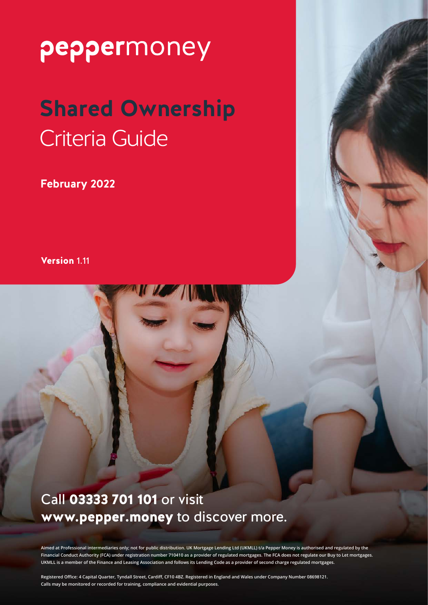# **Shared Ownership** Criteria Guide

**February 2022**

Version 1.11

#### Call 03333 701 101 or visit www.pepper.money to discover more.

**Aimed at Professional intermediaries only; not for public distribution. UK Mortgage Lending Ltd (UKMLL) t/a Pepper Money is authorised and regulated by the Financial Conduct Authority (FCA) under registration number 710410 as a provider of regulated mortgages. The FCA does not regulate our Buy to Let mortgages. UKMLL is a member of the Finance and Leasing Association and follows its Lending Code as a provider of second charge regulated mortgages.**

**Registered Office: 4 Capital Quarter, Tyndall Street, Cardiff, CF10 4BZ. Registered in England and Wales under Company Number 08698121. Calls may be monitored or recorded for training, compliance and evidential purposes.**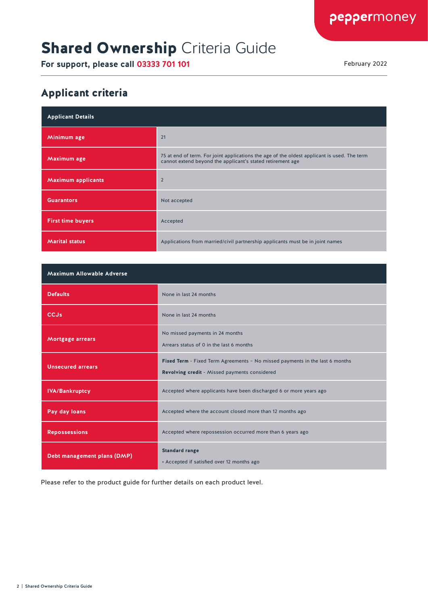### **Shared Ownership Criteria Guide**

**For support, please call 03333 701 101** February 2022

#### Applicant criteria

| <b>Applicant Details</b>  |                                                                                                                                                           |
|---------------------------|-----------------------------------------------------------------------------------------------------------------------------------------------------------|
| Minimum age               | 21                                                                                                                                                        |
| Maximum age               | 75 at end of term. For joint applications the age of the oldest applicant is used. The term<br>cannot extend beyond the applicant's stated retirement age |
| <b>Maximum applicants</b> | $\overline{2}$                                                                                                                                            |
| <b>Guarantors</b>         | Not accepted                                                                                                                                              |
| <b>First time buyers</b>  | Accepted                                                                                                                                                  |
| <b>Marital status</b>     | Applications from married/civil partnership applicants must be in joint names                                                                             |

| <b>Maximum Allowable Adverse</b> |                                                                                                                               |  |
|----------------------------------|-------------------------------------------------------------------------------------------------------------------------------|--|
| <b>Defaults</b>                  | None in last 24 months                                                                                                        |  |
| <b>CCJs</b>                      | None in last 24 months                                                                                                        |  |
| Mortgage arrears                 | No missed payments in 24 months<br>Arrears status of 0 in the last 6 months                                                   |  |
| <b>Unsecured arrears</b>         | Fixed Term - Fixed Term Agreements - No missed payments in the last 6 months<br>Revolving credit - Missed payments considered |  |
| <b>IVA/Bankruptcy</b>            | Accepted where applicants have been discharged 6 or more years ago                                                            |  |
| Pay day loans                    | Accepted where the account closed more than 12 months ago                                                                     |  |
| <b>Repossessions</b>             | Accepted where repossession occurred more than 6 years ago                                                                    |  |
| Debt management plans (DMP)      | <b>Standard range</b><br>• Accepted if satisfied over 12 months ago                                                           |  |

Please refer to the product guide for further details on each product level.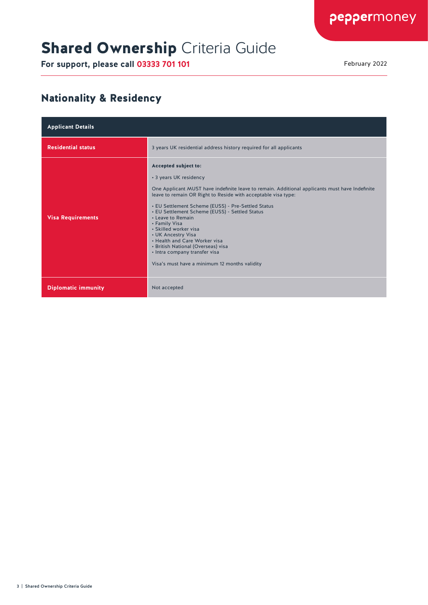### **Shared Ownership Criteria Guide**

**For support, please call 03333 701 101** February 2022

#### Nationality & Residency

| <b>Applicant Details</b>   |                                                                                                                                                                                                                                                                                                                                                                                                                                                                                                                                                                         |
|----------------------------|-------------------------------------------------------------------------------------------------------------------------------------------------------------------------------------------------------------------------------------------------------------------------------------------------------------------------------------------------------------------------------------------------------------------------------------------------------------------------------------------------------------------------------------------------------------------------|
| <b>Residential status</b>  | 3 years UK residential address history required for all applicants                                                                                                                                                                                                                                                                                                                                                                                                                                                                                                      |
| <b>Visa Requirements</b>   | Accepted subject to:<br>• 3 years UK residency<br>One Applicant MUST have indefinite leave to remain. Additional applicants must have Indefinite<br>leave to remain OR Right to Reside with acceptable visa type:<br>• EU Settlement Scheme (EUSS) - Pre-Settled Status<br>• EU Settlement Scheme (EUSS) - Settled Status<br>• Leave to Remain<br>• Family Visa<br>• Skilled worker visa<br>• UK Ancestry Visa<br>. Health and Care Worker visa<br>• British National (Overseas) visa<br>• Intra company transfer visa<br>Visa's must have a minimum 12 months validity |
| <b>Diplomatic immunity</b> | Not accepted                                                                                                                                                                                                                                                                                                                                                                                                                                                                                                                                                            |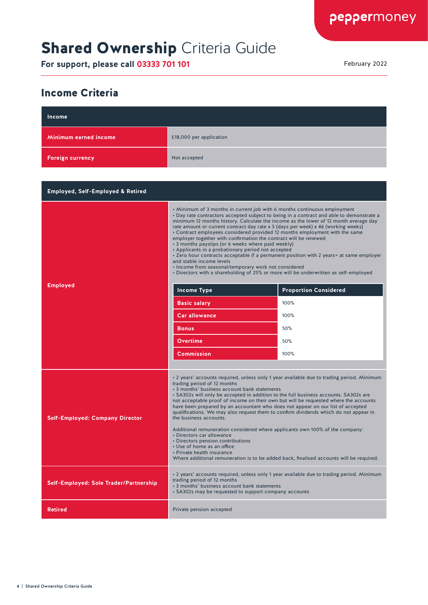### **Shared Ownership Criteria Guide**

**For support, please call 03333 701 101** February 2022

#### Income Criteria

| Income                                       |                                                                                                                                                                                                                                                                                                                                                                                                                                                                                                                                                                                                                                                                                                                                                                                                                                                                                                                                                                              |                                                     |
|----------------------------------------------|------------------------------------------------------------------------------------------------------------------------------------------------------------------------------------------------------------------------------------------------------------------------------------------------------------------------------------------------------------------------------------------------------------------------------------------------------------------------------------------------------------------------------------------------------------------------------------------------------------------------------------------------------------------------------------------------------------------------------------------------------------------------------------------------------------------------------------------------------------------------------------------------------------------------------------------------------------------------------|-----------------------------------------------------|
| Minimum earned income                        | £18,000 per application                                                                                                                                                                                                                                                                                                                                                                                                                                                                                                                                                                                                                                                                                                                                                                                                                                                                                                                                                      |                                                     |
| <b>Foreign currency</b>                      | Not accepted                                                                                                                                                                                                                                                                                                                                                                                                                                                                                                                                                                                                                                                                                                                                                                                                                                                                                                                                                                 |                                                     |
|                                              |                                                                                                                                                                                                                                                                                                                                                                                                                                                                                                                                                                                                                                                                                                                                                                                                                                                                                                                                                                              |                                                     |
| <b>Employed, Self-Employed &amp; Retired</b> |                                                                                                                                                                                                                                                                                                                                                                                                                                                                                                                                                                                                                                                                                                                                                                                                                                                                                                                                                                              |                                                     |
| <b>Employed</b>                              | • Minimum of 3 months in current job with 6 months continuous employment<br>• Day rate contractors accepted subject to being in a contract and able to demonstrate a<br>minimum 12 months history. Calculate the income as the lower of 12 month average day<br>rate amount or current contract day rate x 5 (days per week) x 46 (working weeks)<br>• Contract employees considered provided 12 months employment with the same<br>employer together with confirmation the contract will be renewed<br>• 3 months payslips (or 6 weeks where paid weekly)<br>• Applicants in a probationary period not accepted<br>. Zero hour contracts acceptable if a permanent position with 2 years+ at same employer<br>and stable income levels<br>• Income from seasonal/temporary work not considered<br>• Directors with a shareholding of 25% or more will be underwritten as self-employed<br><b>Income Type</b><br><b>Basic salary</b><br><b>Car allowance</b><br><b>Bonus</b> | <b>Proportion Considered</b><br>100%<br>100%<br>50% |
|                                              | <b>Overtime</b>                                                                                                                                                                                                                                                                                                                                                                                                                                                                                                                                                                                                                                                                                                                                                                                                                                                                                                                                                              | 50%                                                 |
|                                              | <b>Commission</b>                                                                                                                                                                                                                                                                                                                                                                                                                                                                                                                                                                                                                                                                                                                                                                                                                                                                                                                                                            | 100%                                                |
| <b>Self-Employed: Company Director</b>       | • 2 years' accounts required, unless only 1 year available due to trading period. Minimum<br>trading period of 12 months<br>• 3 months' business account bank statements<br>• SA302s will only be accepted in addition to the full business accounts. SA302s are<br>not acceptable proof of income on their own but will be requested where the accounts<br>have been prepared by an accountant who does not appear on our list of accepted<br>qualifications. We may also request them to confirm dividends which do not appear in<br>the business accounts.<br>Additional remuneration considered where applicants own 100% of the company:<br>• Directors car allowance<br>• Directors pension contributions<br>• Use of home as an office<br>• Private health insurance<br>Where additional remuneration is to be added back, finalised accounts will be required.                                                                                                       |                                                     |
| Self-Employed: Sole Trader/Partnership       | • 2 years' accounts required, unless only 1 year available due to trading period. Minimum<br>trading period of 12 months<br>• 3 months' business account bank statements<br>• SA302s may be requested to support company accounts                                                                                                                                                                                                                                                                                                                                                                                                                                                                                                                                                                                                                                                                                                                                            |                                                     |
| <b>Retired</b>                               | Private pension accepted                                                                                                                                                                                                                                                                                                                                                                                                                                                                                                                                                                                                                                                                                                                                                                                                                                                                                                                                                     |                                                     |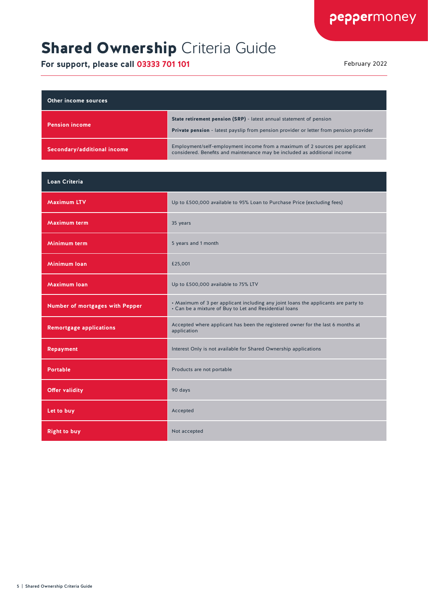# **Shared Ownership Criteria Guide**

| Other income sources        |                                                                                                                                                                      |
|-----------------------------|----------------------------------------------------------------------------------------------------------------------------------------------------------------------|
| <b>Pension income</b>       | State retirement pension (SRP) - latest annual statement of pension<br><b>Private pension</b> - latest payslip from pension provider or letter from pension provider |
| Secondary/additional income | Employment/self-employment income from a maximum of 2 sources per applicant<br>considered. Benefits and maintenance may be included as additional income             |

| <b>Loan Criteria</b>            |                                                                                                                                              |
|---------------------------------|----------------------------------------------------------------------------------------------------------------------------------------------|
| <b>Maximum LTV</b>              | Up to £500,000 available to 95% Loan to Purchase Price (excluding fees)                                                                      |
| Maximum term                    | 35 years                                                                                                                                     |
| Minimum term                    | 5 years and 1 month                                                                                                                          |
| <b>Minimum loan</b>             | £25,001                                                                                                                                      |
| <b>Maximum loan</b>             | Up to £500,000 available to 75% LTV                                                                                                          |
| Number of mortgages with Pepper | • Maximum of 3 per applicant including any joint loans the applicants are party to<br>• Can be a mixture of Buy to Let and Residential loans |
| <b>Remortgage applications</b>  | Accepted where applicant has been the registered owner for the last 6 months at<br>application                                               |
| <b>Repayment</b>                | Interest Only is not available for Shared Ownership applications                                                                             |
| <b>Portable</b>                 | Products are not portable                                                                                                                    |
| <b>Offer validity</b>           | 90 days                                                                                                                                      |
| Let to buy                      | Accepted                                                                                                                                     |
| <b>Right to buy</b>             | Not accepted                                                                                                                                 |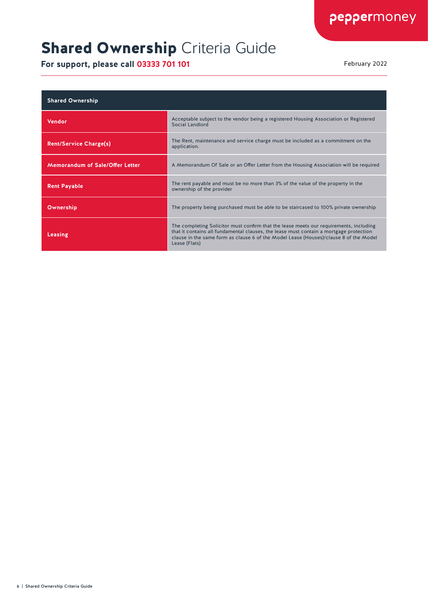# **Shared Ownership Criteria Guide**

| <b>Shared Ownership</b>                |                                                                                                                                                                                                                                                                                            |
|----------------------------------------|--------------------------------------------------------------------------------------------------------------------------------------------------------------------------------------------------------------------------------------------------------------------------------------------|
| <b>Vendor</b>                          | Acceptable subject to the vendor being a registered Housing Association or Registered<br>Social Landlord                                                                                                                                                                                   |
| <b>Rent/Service Charge(s)</b>          | The Rent, maintenance and service charge must be included as a commitment on the<br>application.                                                                                                                                                                                           |
| <b>Memorandum of Sale/Offer Letter</b> | A Memorandum Of Sale or an Offer Letter from the Housing Association will be required                                                                                                                                                                                                      |
| <b>Rent Payable</b>                    | The rent payable and must be no more than 3% of the value of the property in the<br>ownership of the provider                                                                                                                                                                              |
| Ownership                              | The property being purchased must be able to be staircased to 100% private ownership                                                                                                                                                                                                       |
| Leasing                                | The completing Solicitor must confirm that the lease meets our requirements, including<br>that it contains all fundamental clauses, the lease must contain a mortgage protection<br>clause in the same form as clause 6 of the Model Lease (Houses)/clause 8 of the Model<br>Lease (Flats) |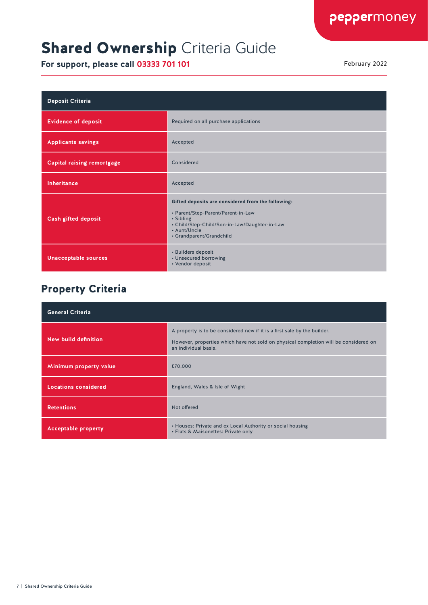### **Shared Ownership Criteria Guide**

**For support, please call 03333 701 101** February 2022

| <b>Deposit Criteria</b>           |                                                                                                                                                                                                    |
|-----------------------------------|----------------------------------------------------------------------------------------------------------------------------------------------------------------------------------------------------|
| <b>Evidence of deposit</b>        | Required on all purchase applications                                                                                                                                                              |
| <b>Applicants savings</b>         | Accepted                                                                                                                                                                                           |
| <b>Capital raising remortgage</b> | Considered                                                                                                                                                                                         |
| <b>Inheritance</b>                | Accepted                                                                                                                                                                                           |
| <b>Cash gifted deposit</b>        | Gifted deposits are considered from the following:<br>• Parent/Step-Parent/Parent-in-Law<br>• Sibling<br>• Child/Step-Child/Son-in-Law/Daughter-in-Law<br>• Aunt/Uncle<br>• Grandparent/Grandchild |
| <b>Unacceptable sources</b>       | • Builders deposit<br>• Unsecured borrowing<br>• Vendor deposit                                                                                                                                    |

#### Property Criteria

| <b>General Criteria</b>     |                                                                                                                                                                                          |
|-----------------------------|------------------------------------------------------------------------------------------------------------------------------------------------------------------------------------------|
| New build definition        | A property is to be considered new if it is a first sale by the builder.<br>However, properties which have not sold on physical completion will be considered on<br>an individual basis. |
| Minimum property value      | £70,000                                                                                                                                                                                  |
| <b>Locations considered</b> | England, Wales & Isle of Wight                                                                                                                                                           |
| <b>Retentions</b>           | Not offered                                                                                                                                                                              |
| <b>Acceptable property</b>  | • Houses: Private and ex Local Authority or social housing<br>• Flats & Maisonettes: Private only                                                                                        |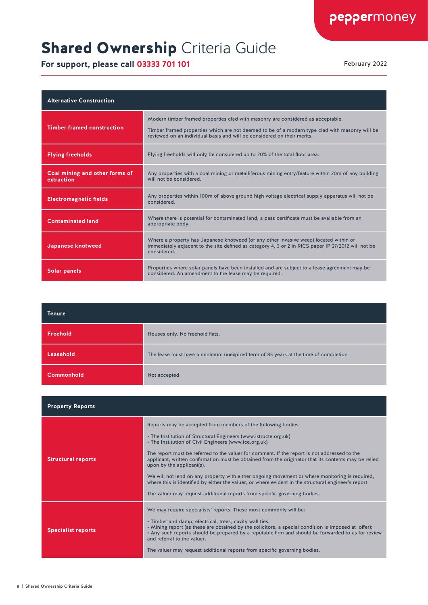# **Shared Ownership Criteria Guide**

| <b>Alternative Construction</b>              |                                                                                                                                                                                                                                                              |
|----------------------------------------------|--------------------------------------------------------------------------------------------------------------------------------------------------------------------------------------------------------------------------------------------------------------|
| <b>Timber framed construction</b>            | Modern timber framed properties clad with masonry are considered as acceptable.<br>Timber framed properties which are not deemed to be of a modern type clad with masonry will be<br>reviewed on an individual basis and will be considered on their merits. |
| <b>Flying freeholds</b>                      | Flying freeholds will only be considered up to 20% of the total floor area.                                                                                                                                                                                  |
| Coal mining and other forms of<br>extraction | Any properties with a coal mining or metalliferous mining entry/feature within 20m of any building<br>will not be considered.                                                                                                                                |
| <b>Electromagnetic fields</b>                | Any properties within 100m of above ground high voltage electrical supply apparatus will not be<br>considered.                                                                                                                                               |
| <b>Contaminated land</b>                     | Where there is potential for contaminated land, a pass certificate must be available from an<br>appropriate body.                                                                                                                                            |
| Japanese knotweed                            | Where a property has Japanese knotweed (or any other invasive weed) located within or<br>immediately adjacent to the site defined as category 4, 3 or 2 in RICS paper IP 27/2012 will not be<br>considered.                                                  |
| <b>Solar panels</b>                          | Properties where solar panels have been installed and are subject to a lease agreement may be<br>considered. An amendment to the lease may be required.                                                                                                      |

| <b>Tenure</b>     |                                                                                    |
|-------------------|------------------------------------------------------------------------------------|
| Freehold          | Houses only. No freehold flats.                                                    |
| Leasehold         | The lease must have a minimum unexpired term of 85 years at the time of completion |
| <b>Commonhold</b> | Not accepted                                                                       |

| <b>Property Reports</b>   |                                                                                                                                                                                                                                                                                                                                                                                                                                                                                                                                                                                                                                                                                                                       |
|---------------------------|-----------------------------------------------------------------------------------------------------------------------------------------------------------------------------------------------------------------------------------------------------------------------------------------------------------------------------------------------------------------------------------------------------------------------------------------------------------------------------------------------------------------------------------------------------------------------------------------------------------------------------------------------------------------------------------------------------------------------|
| <b>Structural reports</b> | Reports may be accepted from members of the following bodies:<br>• The Institution of Structural Engineers (www.istructe.org.uk)<br>• The Institution of Civil Engineers (www.ice.org.uk)<br>The report must be referred to the valuer for comment. If the report is not addressed to the<br>applicant, written confirmation must be obtained from the originator that its contents may be relied<br>upon by the applicant(s).<br>We will not lend on any property with either ongoing movement or where monitoring is required,<br>where this is identified by either the valuer, or where evident in the structural engineer's report.<br>The valuer may request additional reports from specific governing bodies. |
| <b>Specialist reports</b> | We may require specialists' reports. These most commonly will be:<br>• Timber and damp, electrical, trees, cavity wall ties;<br>. Mining report (as these are obtained by the solicitors, a special condition is imposed at offer);<br>• Any such reports should be prepared by a reputable firm and should be forwarded to us for review<br>and referral to the valuer.<br>The valuer may request additional reports from specific governing bodies.                                                                                                                                                                                                                                                                 |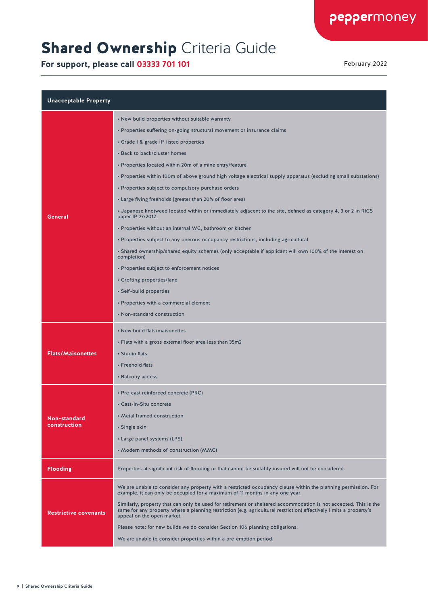# **Shared Ownership Criteria Guide**

| <b>Unacceptable Property</b> |                                                                                                                                                                                                                                                                      |  |
|------------------------------|----------------------------------------------------------------------------------------------------------------------------------------------------------------------------------------------------------------------------------------------------------------------|--|
|                              | • New build properties without suitable warranty                                                                                                                                                                                                                     |  |
|                              | • Properties suffering on-going structural movement or insurance claims                                                                                                                                                                                              |  |
|                              | • Grade I & grade II* listed properties                                                                                                                                                                                                                              |  |
|                              | • Back to back/cluster homes                                                                                                                                                                                                                                         |  |
|                              | • Properties located within 20m of a mine entry/feature                                                                                                                                                                                                              |  |
|                              | · Properties within 100m of above ground high voltage electrical supply apparatus (excluding small substations)                                                                                                                                                      |  |
|                              | • Properties subject to compulsory purchase orders                                                                                                                                                                                                                   |  |
|                              | • Large flying freeholds (greater than 20% of floor area)                                                                                                                                                                                                            |  |
| General                      | • Japanese knotweed located within or immediately adjacent to the site, defined as category 4, 3 or 2 in RICS<br>paper IP 27/2012                                                                                                                                    |  |
|                              | • Properties without an internal WC, bathroom or kitchen                                                                                                                                                                                                             |  |
|                              | • Properties subject to any onerous occupancy restrictions, including agricultural                                                                                                                                                                                   |  |
|                              | • Shared ownership/shared equity schemes (only acceptable if applicant will own 100% of the interest on<br>completion)                                                                                                                                               |  |
|                              | • Properties subject to enforcement notices                                                                                                                                                                                                                          |  |
|                              | • Crofting properties/land                                                                                                                                                                                                                                           |  |
|                              | • Self-build properties                                                                                                                                                                                                                                              |  |
|                              | • Properties with a commercial element                                                                                                                                                                                                                               |  |
|                              | • Non-standard construction                                                                                                                                                                                                                                          |  |
|                              | • New build flats/maisonettes                                                                                                                                                                                                                                        |  |
|                              | • Flats with a gross external floor area less than 35m2                                                                                                                                                                                                              |  |
| <b>Flats/Maisonettes</b>     | • Studio flats                                                                                                                                                                                                                                                       |  |
|                              | • Freehold flats                                                                                                                                                                                                                                                     |  |
|                              | • Balcony access                                                                                                                                                                                                                                                     |  |
| Non-standard<br>construction | • Pre-cast reinforced concrete (PRC)                                                                                                                                                                                                                                 |  |
|                              | • Cast-in-Situ concrete                                                                                                                                                                                                                                              |  |
|                              | • Metal framed construction                                                                                                                                                                                                                                          |  |
|                              | • Single skin                                                                                                                                                                                                                                                        |  |
|                              | • Large panel systems (LPS)                                                                                                                                                                                                                                          |  |
|                              | • Modern methods of construction (MMC)                                                                                                                                                                                                                               |  |
| <b>Flooding</b>              | Properties at significant risk of flooding or that cannot be suitably insured will not be considered.                                                                                                                                                                |  |
| <b>Restrictive covenants</b> | We are unable to consider any property with a restricted occupancy clause within the planning permission. For<br>example, it can only be occupied for a maximum of 11 months in any one year.                                                                        |  |
|                              | Similarly, property that can only be used for retirement or sheltered accommodation is not accepted. This is the<br>same for any property where a planning restriction (e.g. agricultural restriction) effectively limits a property's<br>appeal on the open market. |  |
|                              | Please note: for new builds we do consider Section 106 planning obligations.                                                                                                                                                                                         |  |
|                              | We are unable to consider properties within a pre-emption period.                                                                                                                                                                                                    |  |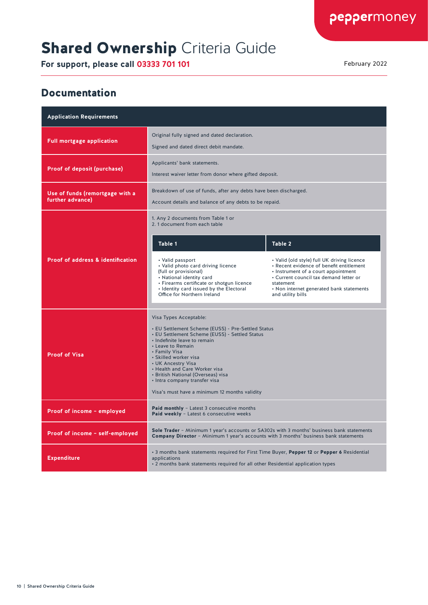### **Shared Ownership Criteria Guide**

**For support, please call 03333 701 101** February 2022

#### Documentation

| <b>Application Requirements</b>                     |                                                                                                                                                                                                                                                                                                                                                                                                              |                                                                                                                                                                                                                                                        |  |
|-----------------------------------------------------|--------------------------------------------------------------------------------------------------------------------------------------------------------------------------------------------------------------------------------------------------------------------------------------------------------------------------------------------------------------------------------------------------------------|--------------------------------------------------------------------------------------------------------------------------------------------------------------------------------------------------------------------------------------------------------|--|
| <b>Full mortgage application</b>                    | Original fully signed and dated declaration.<br>Signed and dated direct debit mandate.                                                                                                                                                                                                                                                                                                                       |                                                                                                                                                                                                                                                        |  |
| Proof of deposit (purchase)                         | Applicants' bank statements.<br>Interest waiver letter from donor where gifted deposit.                                                                                                                                                                                                                                                                                                                      |                                                                                                                                                                                                                                                        |  |
| Use of funds (remortgage with a<br>further advance) | Breakdown of use of funds, after any debts have been discharged.<br>Account details and balance of any debts to be repaid.                                                                                                                                                                                                                                                                                   |                                                                                                                                                                                                                                                        |  |
|                                                     | 1. Any 2 documents from Table 1 or<br>2. 1 document from each table                                                                                                                                                                                                                                                                                                                                          |                                                                                                                                                                                                                                                        |  |
|                                                     | Table 1                                                                                                                                                                                                                                                                                                                                                                                                      | Table 2                                                                                                                                                                                                                                                |  |
| <b>Proof of address &amp; identification</b>        | • Valid passport<br>• Valid photo card driving licence<br>(full or provisional)<br>• National identity card<br>• Firearms certificate or shotgun licence<br>• Identity card issued by the Electoral<br>Office for Northern Ireland                                                                                                                                                                           | • Valid (old style) full UK driving licence<br>· Recent evidence of benefit entitlement<br>• Instrument of a court appointment<br>• Current council tax demand letter or<br>statement<br>• Non internet generated bank statements<br>and utility bills |  |
| <b>Proof of Visa</b>                                | Visa Types Acceptable:<br>• EU Settlement Scheme (EUSS) - Pre-Settled Status<br>• EU Settlement Scheme (EUSS) - Settled Status<br>· Indefinite leave to remain<br>• Leave to Remain<br>• Family Visa<br>• Skilled worker visa<br>• UK Ancestry Visa<br>• Health and Care Worker visa<br>• British National (Overseas) visa<br>• Intra company transfer visa<br>Visa's must have a minimum 12 months validity |                                                                                                                                                                                                                                                        |  |
| Proof of income - employed                          | Paid monthly - Latest 3 consecutive months<br>Paid weekly - Latest 6 consecutive weeks                                                                                                                                                                                                                                                                                                                       |                                                                                                                                                                                                                                                        |  |
| Proof of income - self-employed                     | Sole Trader - Minimum 1 year's accounts or SA302s with 3 months' business bank statements<br><b>Company Director</b> - Minimum 1 year's accounts with 3 months' business bank statements                                                                                                                                                                                                                     |                                                                                                                                                                                                                                                        |  |
| <b>Expenditure</b>                                  | . 3 months bank statements required for First Time Buyer, Pepper 12 or Pepper 6 Residential<br>applications<br>. 2 months bank statements required for all other Residential application types                                                                                                                                                                                                               |                                                                                                                                                                                                                                                        |  |